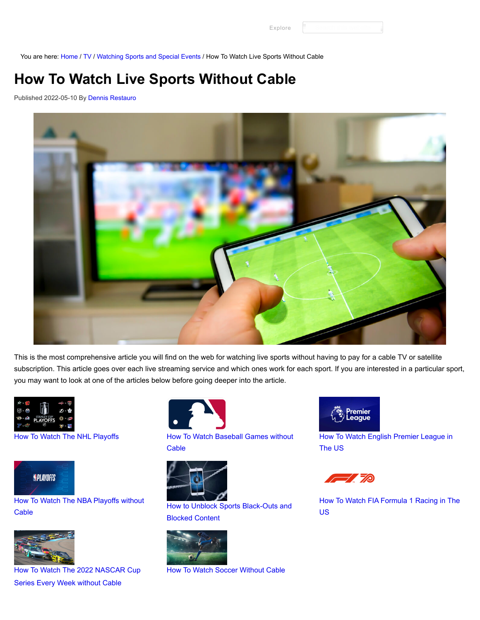[Explore](https://www.groundedreason.com/watch-sports-without-cable/#)

You are here: [Home](https://www.groundedreason.com/) / [TV](https://www.groundedreason.com/cord-cutting/) / [Watching Sports and Special Events](https://www.groundedreason.com/cord-cutting/watching-sports-special-events/) / How To Watch Live Sports Without Cable

# **How To Watch Live Sports Without Cable**

Published 2022-05-10 By [Dennis Restauro](https://www.groundedreason.com/author/drestauro/)



This is the most comprehensive article you will find on the web for watching live sports without having to pay for a cable TV or satellite subscription. This article goes over each live streaming service and which ones work for each sport. If you are interested in a particular sport, you may want to look at one of the articles below before going deeper into the article.





#### [How To Watch The NBA Playoffs without](https://www.groundedreason.com/how-to-watch-the-nba-playoffs-and-play-in-without-cable/) Cable [How to Unblock Sports Black-Outs and](https://www.groundedreason.com/how-to-unblock-sports-black-outs-and-blocked-content/) Cable



[How To Watch The 2022 NASCAR Cup](https://www.groundedreason.com/nascar-is-back-online/) Series Every Week without Cable



[How To Watch The NHL Playoffs](https://www.groundedreason.com/how-to-watch-the-nhl-playoffs/) [How To Watch Baseball Games without](https://www.groundedreason.com/how-to-watch-mlb-games-without-cable/) **Cable** 



Blocked Content



[How To Watch Soccer Without Cable](https://www.groundedreason.com/watch-soccer-online-get-roku/)



[How To Watch English Premier League in](https://www.groundedreason.com/how-to-watch-english-premier-league-in-the-us/) The US



[How To Watch FIA Formula 1 Racing in The](https://www.groundedreason.com/how-to-watch-formula-1-in-the-us/) US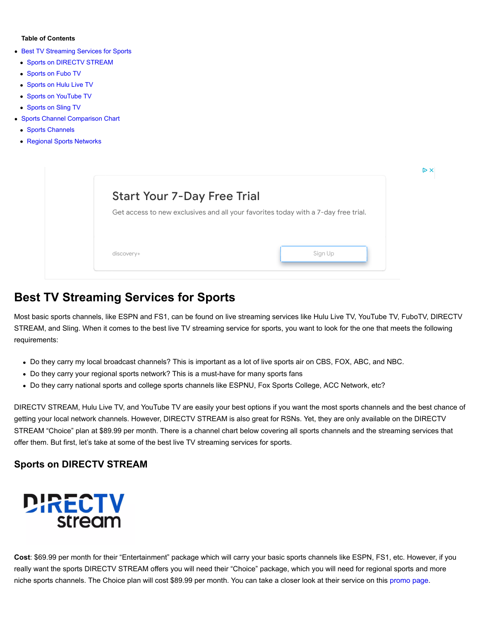#### **Table of Contents**

- **[Best TV Streaming Services for Sports](https://www.groundedreason.com/watch-sports-without-cable/#Best_TV_Streaming_Services_for_Sports)** 
	- [Sports on DIRECTV STREAM](https://www.groundedreason.com/watch-sports-without-cable/#Sports_on_DIRECTV_STREAM)
	- [Sports on Fubo TV](https://www.groundedreason.com/watch-sports-without-cable/#Sports_on_Fubo_TV)
	- [Sports on Hulu Live TV](https://www.groundedreason.com/watch-sports-without-cable/#Sports_on_Hulu_Live_TV)
- [Sports on YouTube TV](https://www.groundedreason.com/watch-sports-without-cable/#Sports_on_YouTube_TV)
- [Sports on Sling TV](https://www.groundedreason.com/watch-sports-without-cable/#Sports_on_Sling_TV)
- [Sports Channel Comparison Chart](https://www.groundedreason.com/watch-sports-without-cable/#Sports_Channel_Comparison_Chart)
	- [Sports Channels](https://www.groundedreason.com/watch-sports-without-cable/#Sports_Channels)
	- [Regional Sports Networks](https://www.groundedreason.com/watch-sports-without-cable/#Regional_Sports_Networks)

| <b>Start Your 7-Day Free Trial</b>                                                 |
|------------------------------------------------------------------------------------|
| Get access to new exclusives and all your favorites today with a 7-day free trial. |
|                                                                                    |
|                                                                                    |
| Sign Up                                                                            |
|                                                                                    |

### **Best TV Streaming Services for Sports**

Most basic sports channels, like ESPN and FS1, can be found on live streaming services like Hulu Live TV, YouTube TV, FuboTV, DIRECTV STREAM, and Sling. When it comes to the best live TV streaming service for sports, you want to look for the one that meets the following requirements:

- Do they carry my local broadcast channels? This is important as a lot of live sports air on CBS, FOX, ABC, and NBC.
- Do they carry your regional sports network? This is a must-have for many sports fans
- Do they carry national sports and college sports channels like ESPNU, Fox Sports College, ACC Network, etc?

DIRECTV STREAM, Hulu Live TV, and YouTube TV are easily your best options if you want the most sports channels and the best chance of getting your local network channels. However, DIRECTV STREAM is also great for RSNs. Yet, they are only available on the DIRECTV STREAM "Choice" plan at \$89.99 per month. There is a channel chart below covering all sports channels and the streaming services that offer them. But first, let's take at some of the best live TV streaming services for sports.

#### **Sports on DIRECTV STREAM**



**Cost**: \$69.99 per month for their "Entertainment" package which will carry your basic sports channels like ESPN, FS1, etc. However, if you really want the sports DIRECTV STREAM offers you will need their "Choice" package, which you will need for regional sports and more niche sports channels. The Choice plan will cost \$89.99 per month. You can take a closer look at their service on this [promo page.](https://www.groundedreason.com/recommends/ATT-Now)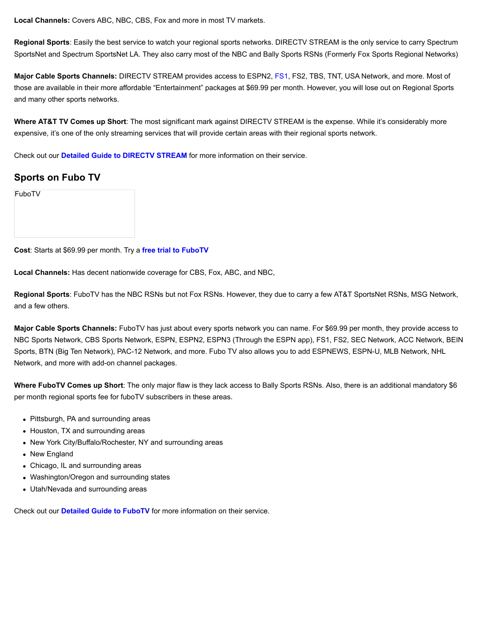**Local Channels:** Covers ABC, NBC, CBS, Fox and more in most TV markets.

**Regional Sports**: Easily the best service to watch your regional sports networks. DIRECTV STREAM is the only service to carry Spectrum SportsNet and Spectrum SportsNet LA. They also carry most of the NBC and Bally Sports RSNs (Formerly Fox Sports Regional Networks)

**Major Cable Sports Channels:** DIRECTV STREAM provides access to ESPN2, [FS1,](https://www.groundedreason.com/where-to-watch-fs1-stream-live-and-legally/) FS2, TBS, TNT, USA Network, and more. Most of those are available in their more affordable "Entertainment" packages at \$69.99 per month. However, you will lose out on Regional Sports and many other sports networks.

**Where AT&T TV Comes up Short**: The most significant mark against DIRECTV STREAM is the expense. While it's considerably more expensive, it's one of the only streaming services that will provide certain areas with their regional sports network.

Check out our **[Detailed Guide to DIRECTV STREAM](https://www.groundedreason.com/att-tv-now-is-back-on-roku/)** for more information on their service.

#### **Sports on Fubo TV**

**Cost**: Starts at \$69.99 per month. Try a **[free trial to FuboTV](https://www.groundedreason.com/recommends/FuboTV)**

**Local Channels:** Has decent nationwide coverage for CBS, Fox, ABC, and NBC,

**Regional Sports**: FuboTV has the NBC RSNs but not Fox RSNs. However, they due to carry a few AT&T SportsNet RSNs, MSG Network, and a few others.

**Major Cable Sports Channels:** FuboTV has just about every sports network you can name. For \$69.99 per month, they provide access to NBC Sports Network, CBS Sports Network, ESPN, ESPN2, ESPN3 (Through the ESPN app), FS1, FS2, SEC Network, ACC Network, BEIN Sports, BTN (Big Ten Network), PAC-12 Network, and more. Fubo TV also allows you to add ESPNEWS, ESPN-U, MLB Network, NHL Network, and more with add-on channel packages.

**Where FuboTV Comes up Short**: The only major flaw is they lack access to Bally Sports RSNs. Also, there is an additional mandatory \$6 per month regional sports fee for fuboTV subscribers in these areas.

- Pittsburgh, PA and surrounding areas
- Houston, TX and surrounding areas
- New York City/Buffalo/Rochester, NY and surrounding areas
- New England
- Chicago, IL and surrounding areas
- Washington/Oregon and surrounding states
- Utah/Nevada and surrounding areas

Check out our **[Detailed Guide to FuboTV](https://www.groundedreason.com/what-is-fubotv/)** for more information on their service.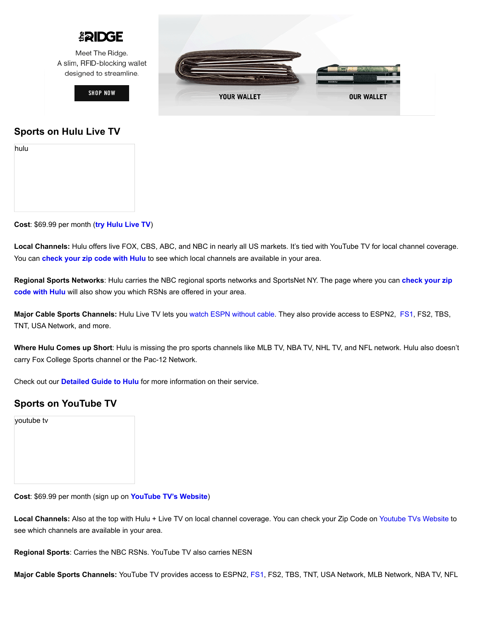

Meet The Ridge. A slim, RFID-blocking wallet designed to streamline.

**SHOP NOW** 



#### **Sports on Hulu Live TV**

| hulu |  |  |  |
|------|--|--|--|
|      |  |  |  |
|      |  |  |  |
|      |  |  |  |
|      |  |  |  |

**Cost**: \$69.99 per month (**[try Hulu Live TV](https://www.groundedreason.com/recommends/hululive)**)

**Local Channels:** Hulu offers live FOX, CBS, ABC, and NBC in nearly all US markets. It's tied with YouTube TV for local channel coverage. You can **[check your zip code with Hulu](https://www.groundedreason.com/recommends/hululive#allchannels)** to see which local channels are available in your area.

**Regional Sports Networks**[: Hulu carries the NBC regional sports networks and SportsNet NY. The page where you can](https://www.groundedreason.com/recommends/hululive#allchannels) **check your zip code with Hulu** will also show you which RSNs are offered in your area.

**Major Cable Sports Channels:** Hulu Live TV lets you [watch ESPN without cable](https://www.groundedreason.com/watch-espn-online-without-cable/). They also provide access to ESPN2, [FS1](https://www.groundedreason.com/where-to-watch-fs1-stream-live-and-legally/), FS2, TBS, TNT, USA Network, and more.

**Where Hulu Comes up Short**: Hulu is missing the pro sports channels like MLB TV, NBA TV, NHL TV, and NFL network. Hulu also doesn't carry Fox College Sports channel or the Pac-12 Network.

Check out our **[Detailed Guide to Hulu](https://www.groundedreason.com/tv-shows-hulu-worth-cost/)** for more information on their service.

#### **Sports on YouTube TV**

youtube tv

**Cost**: \$69.99 per month (sign up on **[YouTube TV's](https://www.groundedreason.com/recommends/hululive) [W](https://tv.youtube.com/welcome/)[ebsite](https://www.groundedreason.com/recommends/hululive)**)

**Local Channels:** Also at the top with Hulu + Live TV on local channel coverage. You can check your Zip Code on [Youtube TVs Website](https://tv.youtube.com/welcome/#id-70channels) to see which channels are available in your area.

**Regional Sports**: Carries the NBC RSNs. YouTube TV also carries NESN

**Major Cable Sports Channels:** YouTube TV provides access to ESPN2, [FS1,](https://www.groundedreason.com/where-to-watch-fs1-stream-live-and-legally/) FS2, TBS, TNT, USA Network, MLB Network, NBA TV, NFL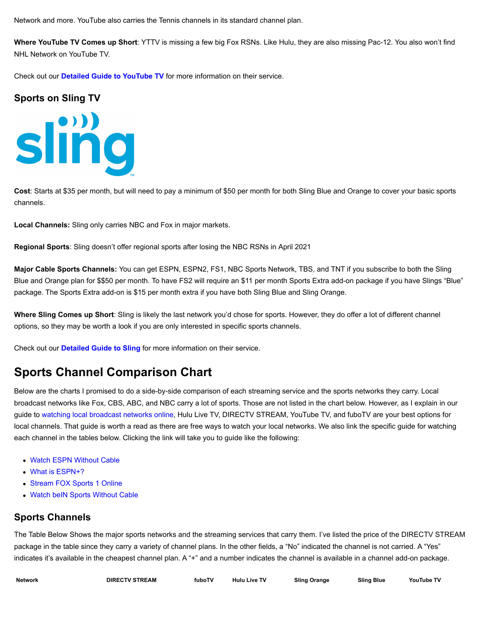Network and more. YouTube also carries the Tennis channels in its standard channel plan.

**Where YouTube TV Comes up Short**: YTTV is missing a few big Fox RSNs. Like Hulu, they are also missing Pac-12. You also won't find NHL Network on YouTube TV.

Check out our **[Detailed Guide to YouTube TV](https://www.groundedreason.com/youtube-tv-channels/)** for more information on their service.

#### **Sports on Sling TV**



**Cost**: Starts at \$35 per month, but will need to pay a minimum of \$50 per month for both Sling Blue and Orange to cover your basic sports channels.

**Local Channels:** Sling only carries NBC and Fox in major markets.

**Regional Sports**: Sling doesn't offer regional sports after losing the NBC RSNs in April 2021

**Major Cable Sports Channels:** You can get ESPN, ESPN2, FS1, NBC Sports Network, TBS, and TNT if you subscribe to both the Sling Blue and Orange plan for \$\$50 per month. To have FS2 will require an \$11 per month Sports Extra add-on package if you have Slings "Blue" package. The Sports Extra add-on is \$15 per month extra if you have both Sling Blue and Sling Orange.

**Where Sling Comes up Short**: Sling is likely the last network you'd chose for sports. However, they do offer a lot of different channel options, so they may be worth a look if you are only interested in specific sports channels.

Check out our **[Detailed Guide to Sling](https://www.groundedreason.com/sling-tv-review-watch-live-tv-online/)** for more information on their service.

## **Sports Channel Comparison Chart**

Below are the charts I promised to do a side-by-side comparison of each streaming service and the sports networks they carry. Local broadcast networks like Fox, CBS, ABC, and NBC carry a lot of sports. Those are not listed in the chart below. However, as I explain in our guide to [watching local broadcast networks online](https://www.groundedreason.com/watch-local-channels-without-cable/), Hulu Live TV, DIRECTV STREAM, YouTube TV, and fuboTV are your best options for local channels. That guide is worth a read as there are free ways to watch your local networks. We also link the specific guide for watching each channel in the tables below. Clicking the link will take you to guide like the following:

- [Watch ESPN Without Cable](https://www.groundedreason.com/watch-espn-online-without-cable/)
- [What is ESPN+?](https://www.groundedreason.com/what-is-espn-espn-plus-and-how-to-watch-it/)
- [Stream FOX Sports 1 Online](https://www.groundedreason.com/where-to-watch-fs1-stream-live-and-legally/)
- [Watch beIN Sports Without Cable](https://www.groundedreason.com/how-to-watch-bein-sports-online-without-cable/)

#### **Sports Channels**

The Table Below Shows the major sports networks and the streaming services that carry them. I've listed the price of the DIRECTV STREAM package in the table since they carry a variety of channel plans. In the other fields, a "No" indicated the channel is not carried. A "Yes" indicates it's available in the cheapest channel plan. A "+" and a number indicates the channel is available in a channel add-on package.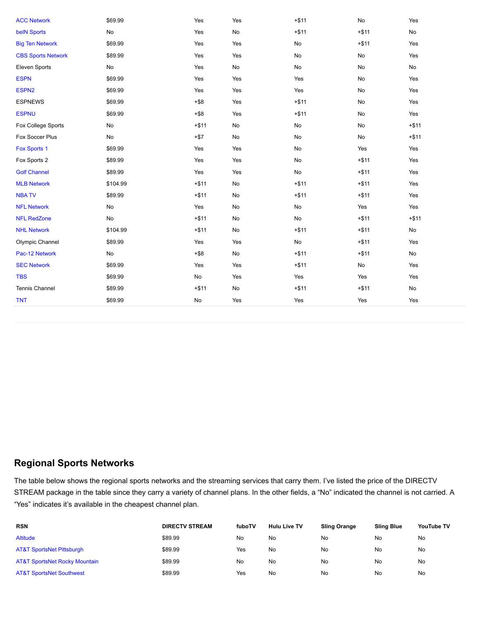| <b>ACC Network</b>        | \$69.99  | Yes           | Yes           | $+ $11$       | No      | Yes           |
|---------------------------|----------|---------------|---------------|---------------|---------|---------------|
| <b>belN Sports</b>        | No       | Yes           | $\mathsf{No}$ | $+ $11$       | $+ $11$ | $\mathsf{No}$ |
| <b>Big Ten Network</b>    | \$69.99  | Yes           | Yes           | No            | $+ $11$ | Yes           |
| <b>CBS Sports Network</b> | \$89.99  | Yes           | Yes           | No            | No      | Yes           |
| Eleven Sports             | No       | Yes           | No            | No            | No      | No            |
| <b>ESPN</b>               | \$69.99  | Yes           | Yes           | Yes           | No      | Yes           |
| ESPN <sub>2</sub>         | \$69.99  | Yes           | Yes           | Yes           | No      | Yes           |
| <b>ESPNEWS</b>            | \$69.99  | $+ $8$        | Yes           | $+ $11$       | No      | Yes           |
| <b>ESPNU</b>              | \$69.99  | $+$ \$8       | Yes           | $+ $11$       | No      | Yes           |
| Fox College Sports        | No       | $+ $11$       | No            | No            | No      | $+ $11$       |
| Fox Soccer Plus           | No       | $+ $7$        | No            | No            | No      | $+ $11$       |
| Fox Sports 1              | \$69.99  | Yes           | Yes           | $\mathsf{No}$ | Yes     | Yes           |
| Fox Sports 2              | \$89.99  | Yes           | Yes           | No            | $+ $11$ | Yes           |
| <b>Golf Channel</b>       | \$89.99  | Yes           | Yes           | $\mathsf{No}$ | $+ $11$ | Yes           |
| <b>MLB Network</b>        | \$104.99 | $+ $11$       | No            | $+ $11$       | $+ $11$ | Yes           |
| <b>NBATV</b>              | \$89.99  | $+ $11$       | No            | $+ $11$       | $+ $11$ | Yes           |
| <b>NFL Network</b>        | No       | Yes           | No            | No            | Yes     | Yes           |
| <b>NFL RedZone</b>        | No       | $+ $11$       | No            | No            | $+ $11$ | $+ $11$       |
| <b>NHL Network</b>        | \$104.99 | $+ $11$       | No            | $+ $11$       | $+ $11$ | $\mathsf{No}$ |
| Olympic Channel           | \$89.99  | Yes           | Yes           | $\mathsf{No}$ | $+ $11$ | Yes           |
| Pac-12 Network            | No       | $+$ \$8       | No            | $+ $11$       | $+ $11$ | $\mathsf{No}$ |
| <b>SEC Network</b>        | \$69.99  | Yes           | Yes           | $+ $11$       | No      | Yes           |
| <b>TBS</b>                | \$69.99  | $\mathsf{No}$ | Yes           | Yes           | Yes     | Yes           |
| Tennis Channel            | \$89.99  | $+ $11$       | No            | $+ $11$       | $+ $11$ | $\mathsf{No}$ |
| <b>TNT</b>                | \$69.99  | No            | Yes           | Yes           | Yes     | Yes           |
|                           |          |               |               |               |         |               |

### **Regional Sports Networks**

The table below shows the regional sports networks and the streaming services that carry them. I've listed the price of the DIRECTV STREAM package in the table since they carry a variety of channel plans. In the other fields, a "No" indicated the channel is not carried. A "Yes" indicates it's available in the cheapest channel plan.

| <b>RSN</b>                               | <b>DIRECTV STREAM</b> | fuboTV | <b>Hulu Live TV</b> | <b>Sling Orange</b> | Sling Blue | YouTube TV |
|------------------------------------------|-----------------------|--------|---------------------|---------------------|------------|------------|
| Altitude                                 | \$89.99               | No     | No                  | No                  | No         | No         |
| <b>AT&amp;T SportsNet Pittsburgh</b>     | \$89.99               | Yes    | No                  | No                  | No         | No         |
| <b>AT&amp;T SportsNet Rocky Mountain</b> | \$89.99               | No     | <b>No</b>           | No                  | No         | No         |
| <b>AT&amp;T SportsNet Southwest</b>      | \$89.99               | Yes    | <b>No</b>           | No                  | No         | No         |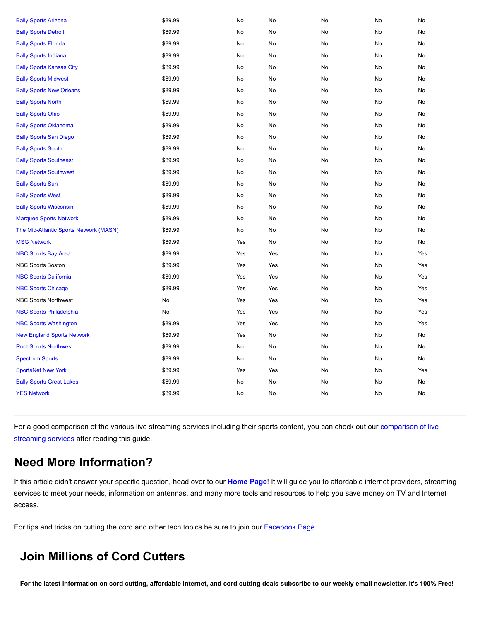| <b>Bally Sports Arizona</b>            | \$89.99 | No  | No  | No | No | No  |
|----------------------------------------|---------|-----|-----|----|----|-----|
| <b>Bally Sports Detroit</b>            | \$89.99 | No  | No  | No | No | No  |
| <b>Bally Sports Florida</b>            | \$89.99 | No  | No  | No | No | No  |
| <b>Bally Sports Indiana</b>            | \$89.99 | No  | No  | No | No | No  |
| <b>Bally Sports Kansas City</b>        | \$89.99 | No  | No  | No | No | No  |
| <b>Bally Sports Midwest</b>            | \$89.99 | No  | No  | No | No | No  |
| <b>Bally Sports New Orleans</b>        | \$89.99 | No  | No  | No | No | No  |
| <b>Bally Sports North</b>              | \$89.99 | No  | No  | No | No | No  |
| <b>Bally Sports Ohio</b>               | \$89.99 | No  | No  | No | No | No  |
| <b>Bally Sports Oklahoma</b>           | \$89.99 | No  | No  | No | No | No  |
| <b>Bally Sports San Diego</b>          | \$89.99 | No  | No  | No | No | No  |
| <b>Bally Sports South</b>              | \$89.99 | No  | No  | No | No | No  |
| <b>Bally Sports Southeast</b>          | \$89.99 | No  | No  | No | No | No  |
| <b>Bally Sports Southwest</b>          | \$89.99 | No  | No  | No | No | No  |
| <b>Bally Sports Sun</b>                | \$89.99 | No  | No  | No | No | No  |
| <b>Bally Sports West</b>               | \$89.99 | No  | No  | No | No | No  |
| <b>Bally Sports Wisconsin</b>          | \$89.99 | No  | No  | No | No | No  |
| <b>Marquee Sports Network</b>          | \$89.99 | No  | No  | No | No | No  |
| The Mid-Atlantic Sports Network (MASN) | \$89.99 | No  | No  | No | No | No  |
| <b>MSG Network</b>                     | \$89.99 | Yes | No  | No | No | No  |
| <b>NBC Sports Bay Area</b>             | \$89.99 | Yes | Yes | No | No | Yes |
| <b>NBC Sports Boston</b>               | \$89.99 | Yes | Yes | No | No | Yes |
| <b>NBC Sports California</b>           | \$89.99 | Yes | Yes | No | No | Yes |
| <b>NBC Sports Chicago</b>              | \$89.99 | Yes | Yes | No | No | Yes |
| <b>NBC Sports Northwest</b>            | No      | Yes | Yes | No | No | Yes |
| <b>NBC Sports Philadelphia</b>         | No      | Yes | Yes | No | No | Yes |
| <b>NBC Sports Washington</b>           | \$89.99 | Yes | Yes | No | No | Yes |
| <b>New England Sports Network</b>      | \$89.99 | Yes | No  | No | No | No  |
| <b>Root Sports Northwest</b>           | \$89.99 | No  | No  | No | No | No  |
| <b>Spectrum Sports</b>                 | \$89.99 | No  | No  | No | No | No  |
| <b>SportsNet New York</b>              | \$89.99 | Yes | Yes | No | No | Yes |
| <b>Bally Sports Great Lakes</b>        | \$89.99 | No  | No  | No | No | No  |
| <b>YES Network</b>                     | \$89.99 | No  | No  | No | No | No  |
|                                        |         |     |     |    |    |     |

[For a good comparison of the various live streaming services including their sports content, you can check out our comparison of live](https://www.groundedreason.com/which-is-the-best-live-tv-streaming-service-in-2021/) streaming services after reading this guide.

## **Need More Information?**

If this article didn't answer your specific question, head over to our **[Home Page](https://www.groundedreason.com/)**! It will guide you to affordable internet providers, streaming services to meet your needs, information on antennas, and many more tools and resources to help you save money on TV and Internet access.

For tips and tricks on cutting the cord and other tech topics be sure to join our [Facebook Page.](https://www.facebook.com/GroundedReason/)

## **Join Millions of Cord Cutters**

**For the latest information on cord cutting, affordable internet, and cord cutting deals subscribe to our weekly email newsletter. It's 100% Free!**